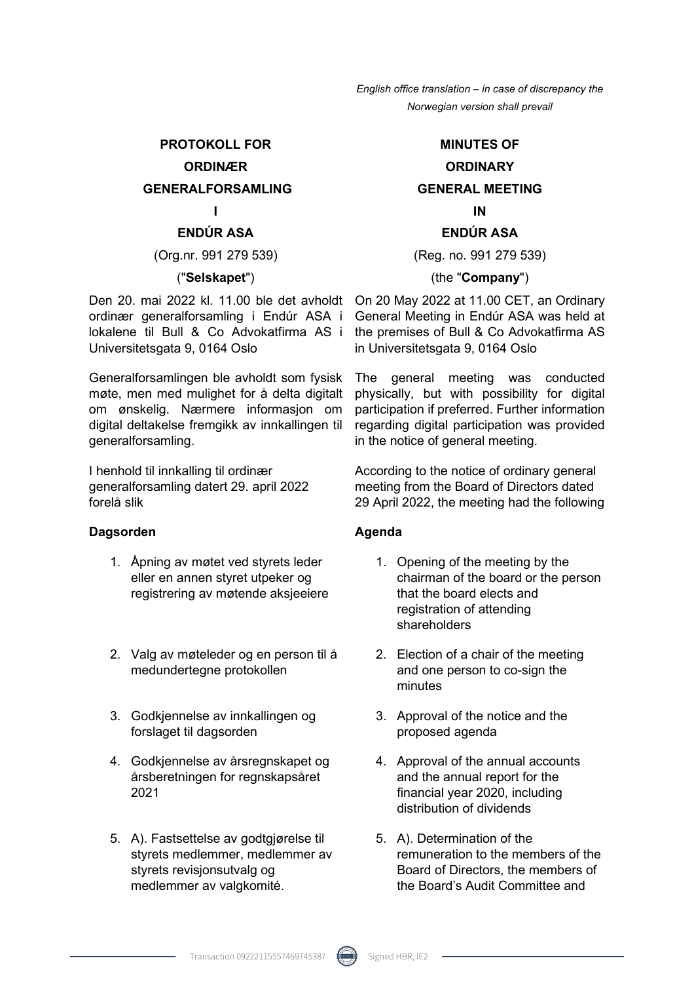#### **PROTOKOLL FOR**

#### **ORDINÆR**

#### **GENERALFORSAMLING**

**I** 

#### **ENDÚR ASA**

(Org.nr. 991 279 539)

#### ("**Selskapet**")

Den 20. mai 2022 kl. 11.00 ble det avholdt ordinær generalforsamling i Endúr ASA i lokalene til Bull & Co Advokatfirma AS i Universitetsgata 9, 0164 Oslo

Generalforsamlingen ble avholdt som fysisk møte, men med mulighet for å delta digitalt om ønskelig. Nærmere informasjon om digital deltakelse fremgikk av innkallingen til generalforsamling.

I henhold til innkalling til ordinær generalforsamling datert 29. april 2022 forelå slik

#### Dagsorden **Agents** Agenda

- 1. Åpning av møtet ved styrets leder eller en annen styret utpeker og registrering av møtende aksjeeiere
- 2. Valg av møteleder og en person til å medundertegne protokollen
- 3. Godkjennelse av innkallingen og forslaget til dagsorden
- 4. Godkjennelse av årsregnskapet og årsberetningen for regnskapsåret 2021
- 5. A). Fastsettelse av godtgjørelse til styrets medlemmer, medlemmer av styrets revisjonsutvalg og medlemmer av valgkomité.

#### **MINUTES OF**

## **ORDINARY GENERAL MEETING IN**

#### **ENDÚR ASA**

(Reg. no. 991 279 539)

#### (the "**Company**")

On 20 May 2022 at 11.00 CET, an Ordinary General Meeting in Endúr ASA was held at the premises of Bull & Co Advokatfirma AS in Universitetsgata 9, 0164 Oslo

The general meeting was conducted physically, but with possibility for digital participation if preferred. Further information regarding digital participation was provided in the notice of general meeting.

According to the notice of ordinary general meeting from the Board of Directors dated 29 April 2022, the meeting had the following

- 1. Opening of the meeting by the chairman of the board or the person that the board elects and registration of attending shareholders
- 2. Election of a chair of the meeting and one person to co-sign the minutes
- 3. Approval of the notice and the proposed agenda
- 4. Approval of the annual accounts and the annual report for the financial year 2020, including distribution of dividends
- 5. A). Determination of the remuneration to the members of the Board of Directors, the members of the Board's Audit Committee and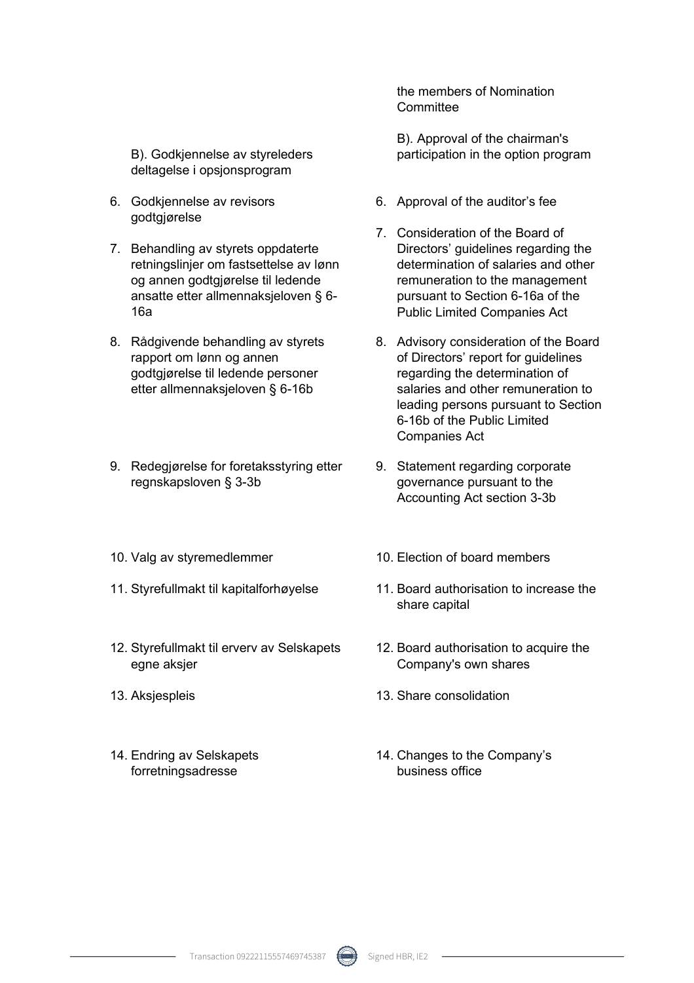B). Godkjennelse av styreleders deltagelse i opsjonsprogram

- 6. Godkjennelse av revisors godtgjørelse
- 7. Behandling av styrets oppdaterte retningslinjer om fastsettelse av lønn og annen godtgjørelse til ledende ansatte etter allmennaksjeloven § 6- 16a
- 8. Rådgivende behandling av styrets rapport om lønn og annen godtgjørelse til ledende personer etter allmennaksjeloven § 6-16b
- 9. Redegjørelse for foretaksstyring etter regnskapsloven § 3-3b
- 
- 
- 12. Styrefullmakt til erverv av Selskapets egne aksjer
- 
- 14. Endring av Selskapets forretningsadresse

the members of Nomination **Committee** 

B). Approval of the chairman's participation in the option program

- 6. Approval of the auditor's fee
- 7. Consideration of the Board of Directors' guidelines regarding the determination of salaries and other remuneration to the management pursuant to Section 6-16a of the Public Limited Companies Act
- 8. Advisory consideration of the Board of Directors' report for guidelines regarding the determination of salaries and other remuneration to leading persons pursuant to Section 6-16b of the Public Limited Companies Act
- 9. Statement regarding corporate governance pursuant to the Accounting Act section 3-3b
- 10. Valg av styremedlemmer 10. Election of board members
- 11. Styrefullmakt til kapitalforhøyelse 11. Board authorisation to increase the share capital
	- 12. Board authorisation to acquire the Company's own shares
- 13. Aksjespleis 13. Share consolidation
	- 14. Changes to the Company's business office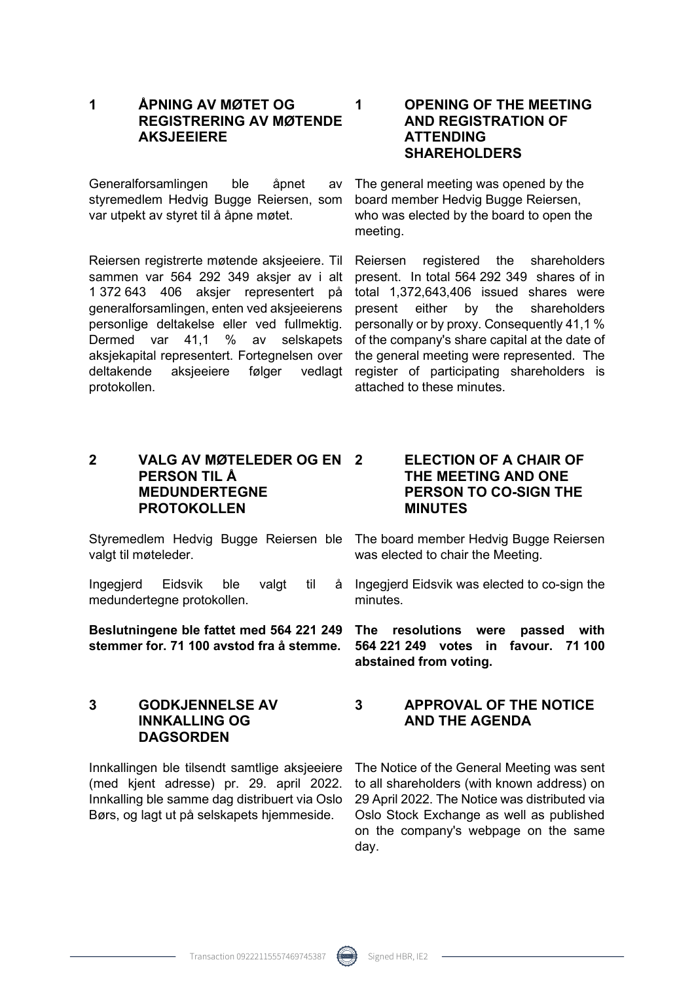**1 ÅPNING AV MØTET OG REGISTRERING AV MØTENDE AKSJEEIERE** 

Generalforsamlingen ble åpnet av styremedlem Hedvig Bugge Reiersen, som var utpekt av styret til å åpne møtet.

Reiersen registrerte møtende aksjeeiere. Til sammen var 564 292 349 aksjer av i alt 1 372 643 406 aksjer representert på generalforsamlingen, enten ved aksjeeierens personlige deltakelse eller ved fullmektig. Dermed var 41,1 % av selskapets aksjekapital representert. Fortegnelsen over deltakende aksjeeiere følger vedlagt protokollen.

#### **2 VALG AV MØTELEDER OG EN PERSON TIL Å MEDUNDERTEGNE PROTOKOLLEN**

Styremedlem Hedvig Bugge Reiersen ble The board member Hedvig Bugge Reiersen valgt til møteleder.

Ingegjerd Eidsvik ble valgt til medundertegne protokollen.

#### **Beslutningene ble fattet med 564 221 249 stemmer for. 71 100 avstod fra å stemme.**

### **3 GODKJENNELSE AV INNKALLING OG DAGSORDEN**

Innkallingen ble tilsendt samtlige aksjeeiere (med kjent adresse) pr. 29. april 2022. Innkalling ble samme dag distribuert via Oslo Børs, og lagt ut på selskapets hjemmeside.

#### **1 OPENING OF THE MEETING AND REGISTRATION OF ATTENDING SHAREHOLDERS**

The general meeting was opened by the board member Hedvig Bugge Reiersen, who was elected by the board to open the meeting.

Reiersen registered the shareholders present. In total 564 292 349 shares of in total 1,372,643,406 issued shares were present either by the shareholders personally or by proxy. Consequently 41,1 % of the company's share capital at the date of the general meeting were represented. The register of participating shareholders is attached to these minutes.

#### **2 ELECTION OF A CHAIR OF THE MEETING AND ONE PERSON TO CO-SIGN THE MINUTES**

was elected to chair the Meeting.

a Ingegjerd Eidsvik was elected to co-sign the minutes.

**The resolutions were passed with 564 221 249 votes in favour. 71 100 abstained from voting.** 

#### **3 APPROVAL OF THE NOTICE AND THE AGENDA**

The Notice of the General Meeting was sent to all shareholders (with known address) on 29 April 2022. The Notice was distributed via Oslo Stock Exchange as well as published on the company's webpage on the same day.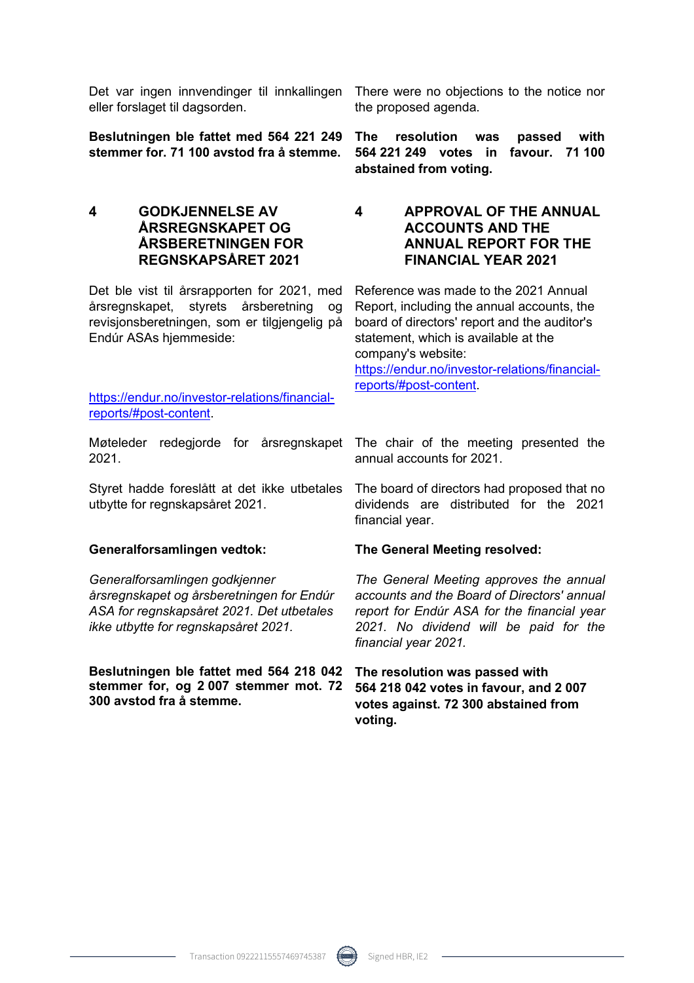Det var ingen innvendinger til innkallingen There were no objections to the notice nor eller forslaget til dagsorden.

**Beslutningen ble fattet med 564 221 249 stemmer for. 71 100 avstod fra å stemme.** 

**4 GODKJENNELSE AV ÅRSREGNSKAPET OG ÅRSBERETNINGEN FOR REGNSKAPSÅRET 2021** 

Det ble vist til årsrapporten for 2021, med årsregnskapet, styrets årsberetning og revisjonsberetningen, som er tilgjengelig på Endúr ASAs hjemmeside:

https://endur.no/investor-relations/financialreports/#post-content.

Møteleder redegjorde for årsregnskapet The chair of the meeting presented the 2021.

Styret hadde foreslått at det ikke utbetales utbytte for regnskapsåret 2021.

*Generalforsamlingen godkjenner årsregnskapet og årsberetningen for Endúr ASA for regnskapsåret 2021. Det utbetales ikke utbytte for regnskapsåret 2021.*

**Beslutningen ble fattet med 564 218 042 stemmer for, og 2 007 stemmer mot. 72 300 avstod fra å stemme.** 

the proposed agenda.

**The resolution was passed with 564 221 249 votes in favour. 71 100 abstained from voting.**

#### **4 APPROVAL OF THE ANNUAL ACCOUNTS AND THE ANNUAL REPORT FOR THE FINANCIAL YEAR 2021**

Reference was made to the 2021 Annual Report, including the annual accounts, the board of directors' report and the auditor's statement, which is available at the company's website:

https://endur.no/investor-relations/financialreports/#post-content.

annual accounts for 2021.

The board of directors had proposed that no dividends are distributed for the 2021 financial year.

#### **Generalforsamlingen vedtok: The General Meeting resolved:**

*The General Meeting approves the annual accounts and the Board of Directors' annual report for Endúr ASA for the financial year 2021. No dividend will be paid for the financial year 2021.*

**The resolution was passed with 564 218 042 votes in favour, and 2 007 votes against. 72 300 abstained from voting.**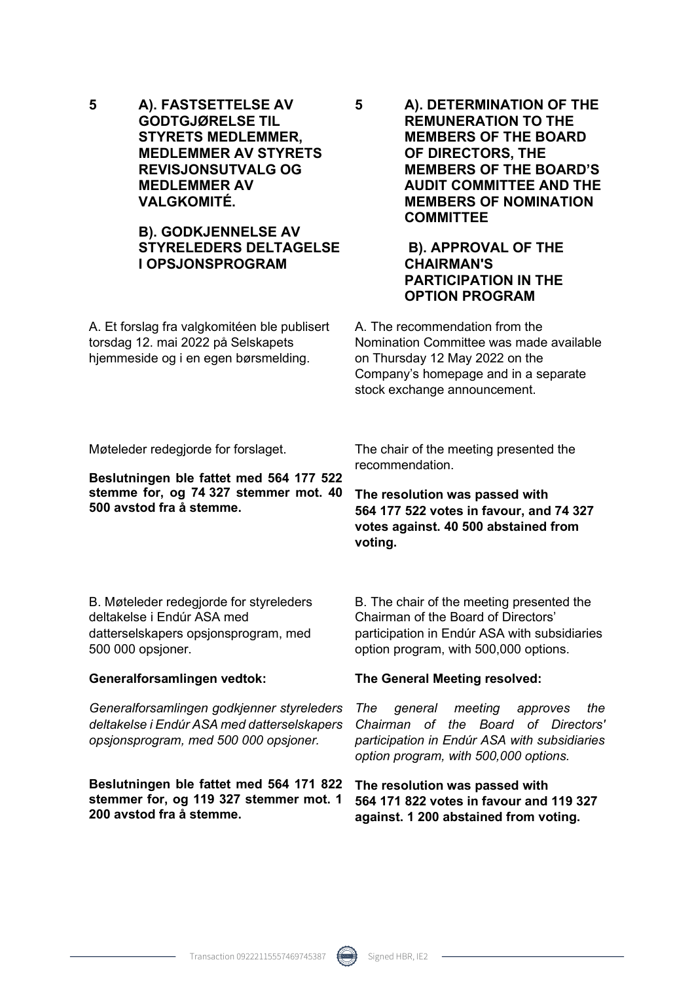**5 A). FASTSETTELSE AV GODTGJØRELSE TIL STYRETS MEDLEMMER, MEDLEMMER AV STYRETS REVISJONSUTVALG OG MEDLEMMER AV VALGKOMITÉ.** 

### **B). GODKJENNELSE AV STYRELEDERS DELTAGELSE I OPSJONSPROGRAM**

A. Et forslag fra valgkomitéen ble publisert torsdag 12. mai 2022 på Selskapets hjemmeside og i en egen børsmelding.

**5 A). DETERMINATION OF THE REMUNERATION TO THE MEMBERS OF THE BOARD OF DIRECTORS, THE MEMBERS OF THE BOARD'S AUDIT COMMITTEE AND THE MEMBERS OF NOMINATION COMMITTEE** 

#### **B). APPROVAL OF THE CHAIRMAN'S PARTICIPATION IN THE OPTION PROGRAM**

A. The recommendation from the Nomination Committee was made available on Thursday 12 May 2022 on the Company's homepage and in a separate stock exchange announcement.

Møteleder redegjorde for forslaget.

**Beslutningen ble fattet med 564 177 522 stemme for, og 74 327 stemmer mot. 40 500 avstod fra å stemme.** 

The chair of the meeting presented the recommendation.

**The resolution was passed with 564 177 522 votes in favour, and 74 327 votes against. 40 500 abstained from voting.**

B. Møteleder redegjorde for styreleders deltakelse i Endúr ASA med datterselskapers opsjonsprogram, med 500 000 opsjoner.

#### **Generalforsamlingen vedtok:**

*Generalforsamlingen godkjenner styreleders deltakelse i Endúr ASA med datterselskapers opsjonsprogram, med 500 000 opsjoner.*

**Beslutningen ble fattet med 564 171 822 stemmer for, og 119 327 stemmer mot. 1 200 avstod fra å stemme.** 

B. The chair of the meeting presented the Chairman of the Board of Directors' participation in Endúr ASA with subsidiaries option program, with 500,000 options.

#### **The General Meeting resolved:**

*The general meeting approves the Chairman of the Board of Directors' participation in Endúr ASA with subsidiaries option program, with 500,000 options.*

**The resolution was passed with 564 171 822 votes in favour and 119 327 against. 1 200 abstained from voting.**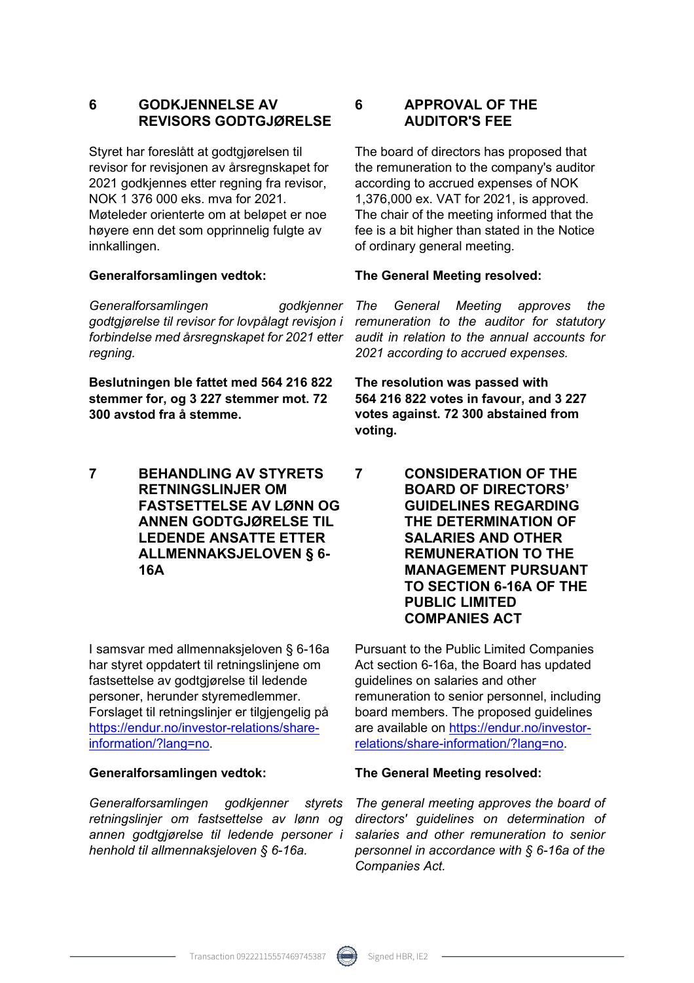### **6 GODKJENNELSE AV REVISORS GODTGJØRELSE**

Styret har foreslått at godtgjørelsen til revisor for revisjonen av årsregnskapet for 2021 godkjennes etter regning fra revisor, NOK 1 376 000 eks. mva for 2021. Møteleder orienterte om at beløpet er noe høyere enn det som opprinnelig fulgte av innkallingen.

*Generalforsamlingen godkjenner godtgjørelse til revisor for lovpålagt revisjon i forbindelse med årsregnskapet for 2021 etter regning.*

**Beslutningen ble fattet med 564 216 822 stemmer for, og 3 227 stemmer mot. 72 300 avstod fra å stemme.** 

**7 BEHANDLING AV STYRETS RETNINGSLINJER OM FASTSETTELSE AV LØNN OG ANNEN GODTGJØRELSE TIL LEDENDE ANSATTE ETTER ALLMENNAKSJELOVEN § 6- 16A** 

I samsvar med allmennaksjeloven § 6-16a har styret oppdatert til retningslinjene om fastsettelse av godtgjørelse til ledende personer, herunder styremedlemmer. Forslaget til retningslinjer er tilgjengelig på https://endur.no/investor-relations/shareinformation/?lang=no.

*Generalforsamlingen godkjenner styrets retningslinjer om fastsettelse av lønn og annen godtgjørelse til ledende personer i henhold til allmennaksjeloven § 6-16a.*

#### **6 APPROVAL OF THE AUDITOR'S FEE**

The board of directors has proposed that the remuneration to the company's auditor according to accrued expenses of NOK 1,376,000 ex. VAT for 2021, is approved. The chair of the meeting informed that the fee is a bit higher than stated in the Notice of ordinary general meeting.

#### **Generalforsamlingen vedtok: The General Meeting resolved:**

*The General Meeting approves the remuneration to the auditor for statutory audit in relation to the annual accounts for 2021 according to accrued expenses.*

**The resolution was passed with 564 216 822 votes in favour, and 3 227 votes against. 72 300 abstained from voting.**

**7 CONSIDERATION OF THE BOARD OF DIRECTORS' GUIDELINES REGARDING THE DETERMINATION OF SALARIES AND OTHER REMUNERATION TO THE MANAGEMENT PURSUANT TO SECTION 6-16A OF THE PUBLIC LIMITED COMPANIES ACT** 

Pursuant to the Public Limited Companies Act section 6-16a, the Board has updated guidelines on salaries and other remuneration to senior personnel, including board members. The proposed guidelines are available on https://endur.no/investorrelations/share-information/?lang=no.

#### **Generalforsamlingen vedtok: The General Meeting resolved:**

*The general meeting approves the board of directors' guidelines on determination of salaries and other remuneration to senior personnel in accordance with § 6-16a of the Companies Act.*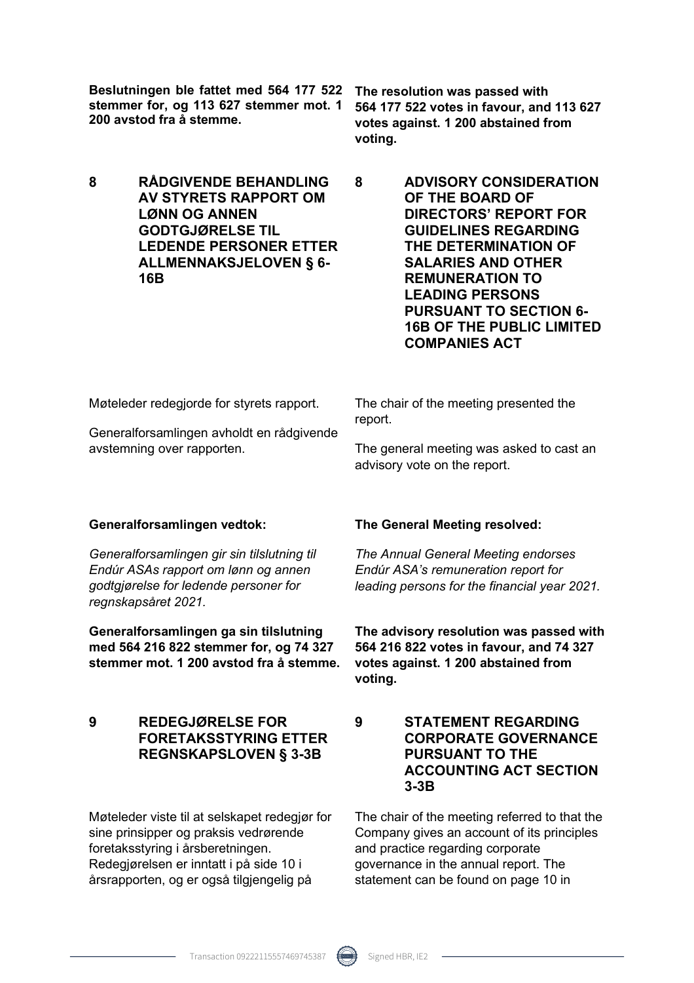**Beslutningen ble fattet med 564 177 522 stemmer for, og 113 627 stemmer mot. 1 200 avstod fra å stemme.** 

**8 RÅDGIVENDE BEHANDLING AV STYRETS RAPPORT OM LØNN OG ANNEN GODTGJØRELSE TIL LEDENDE PERSONER ETTER ALLMENNAKSJELOVEN § 6- 16B** 

**The resolution was passed with 564 177 522 votes in favour, and 113 627 votes against. 1 200 abstained from voting.**

**8 ADVISORY CONSIDERATION OF THE BOARD OF DIRECTORS' REPORT FOR GUIDELINES REGARDING THE DETERMINATION OF SALARIES AND OTHER REMUNERATION TO LEADING PERSONS PURSUANT TO SECTION 6- 16B OF THE PUBLIC LIMITED COMPANIES ACT** 

Møteleder redegjorde for styrets rapport.

Generalforsamlingen avholdt en rådgivende avstemning over rapporten.

The chair of the meeting presented the report.

The general meeting was asked to cast an advisory vote on the report.

*Generalforsamlingen gir sin tilslutning til Endúr ASAs rapport om lønn og annen godtgjørelse for ledende personer for regnskapsåret 2021.* 

**Generalforsamlingen ga sin tilslutning med 564 216 822 stemmer for, og 74 327 stemmer mot. 1 200 avstod fra å stemme.** 

#### **9 REDEGJØRELSE FOR FORETAKSSTYRING ETTER REGNSKAPSLOVEN § 3-3B**

Møteleder viste til at selskapet redegjør for sine prinsipper og praksis vedrørende foretaksstyring i årsberetningen. Redegjørelsen er inntatt i på side 10 i årsrapporten, og er også tilgjengelig på

#### **Generalforsamlingen vedtok: The General Meeting resolved:**

*The Annual General Meeting endorses Endúr ASA's remuneration report for leading persons for the financial year 2021.* 

**The advisory resolution was passed with 564 216 822 votes in favour, and 74 327 votes against. 1 200 abstained from voting.**

**9 STATEMENT REGARDING CORPORATE GOVERNANCE PURSUANT TO THE ACCOUNTING ACT SECTION 3-3B** 

The chair of the meeting referred to that the Company gives an account of its principles and practice regarding corporate governance in the annual report. The statement can be found on page 10 in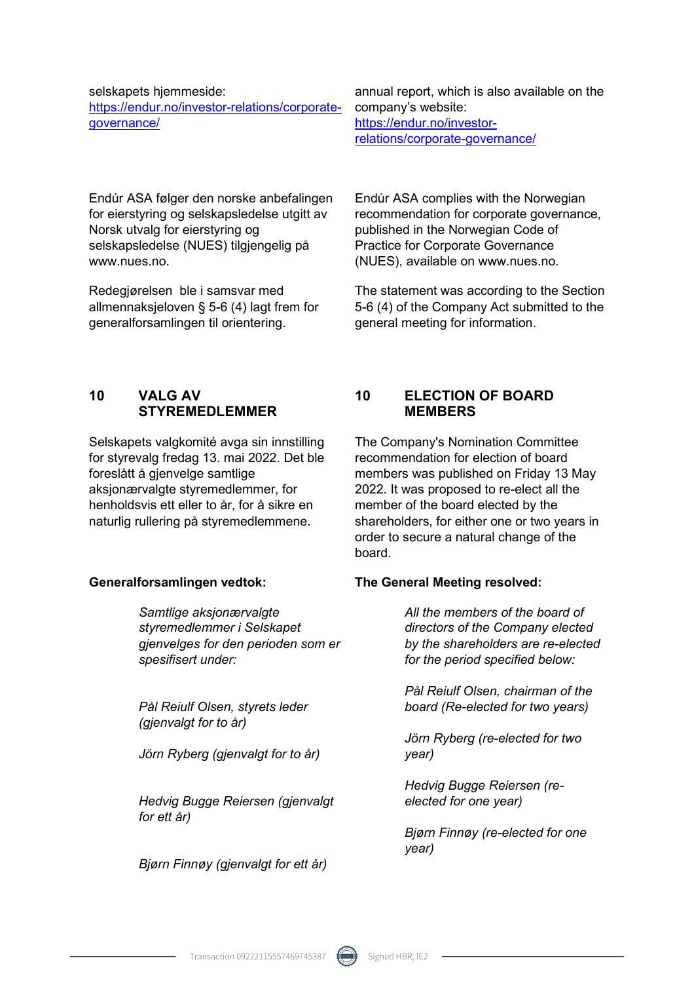#### selskapets hjemmeside:

https://endur.no/investor-relations/corporategovernance/

Endúr ASA følger den norske anbefalingen for eierstyring og selskapsledelse utgitt av Norsk utvalg for eierstyring og selskapsledelse (NUES) tilgjengelig på www.nues.no.

Redegjørelsen ble i samsvar med allmennaksjeloven § 5-6 (4) lagt frem for generalforsamlingen til orientering.

annual report, which is also available on the company's website: https://endur.no/investorrelations/corporate-governance/

Endúr ASA complies with the Norwegian recommendation for corporate governance, published in the Norwegian Code of Practice for Corporate Governance (NUES), available on www.nues.no.

The statement was according to the Section 5-6 (4) of the Company Act submitted to the general meeting for information.

### **10 VALG AV STYREMEDLEMMER**

Selskapets valgkomité avga sin innstilling for styrevalg fredag 13. mai 2022. Det ble foreslått å gjenvelge samtlige aksionærvalgte styremedlemmer, for henholdsvis ett eller to år, for å sikre en naturlig rullering på styremedlemmene.

*Samtlige aksjonærvalgte styremedlemmer i Selskapet gjenvelges for den perioden som er spesifisert under:* 

*Pål Reiulf Olsen, styrets leder (gjenvalgt for to år)* 

*Jörn Ryberg (gjenvalgt for to år)* 

*Hedvig Bugge Reiersen (gjenvalgt for ett år)* 

*Bjørn Finnøy (gjenvalgt for ett år)* 

### **10 ELECTION OF BOARD MEMBERS**

The Company's Nomination Committee recommendation for election of board members was published on Friday 13 May 2022. It was proposed to re-elect all the member of the board elected by the shareholders, for either one or two years in order to secure a natural change of the board.

#### **Generalforsamlingen vedtok: The General Meeting resolved:**

*All the members of the board of directors of the Company elected by the shareholders are re-elected for the period specified below:* 

*Pål Reiulf Olsen, chairman of the board (Re-elected for two years)* 

*Jörn Ryberg (re-elected for two year)* 

*Hedvig Bugge Reiersen (reelected for one year)* 

*Bjørn Finnøy (re-elected for one year)*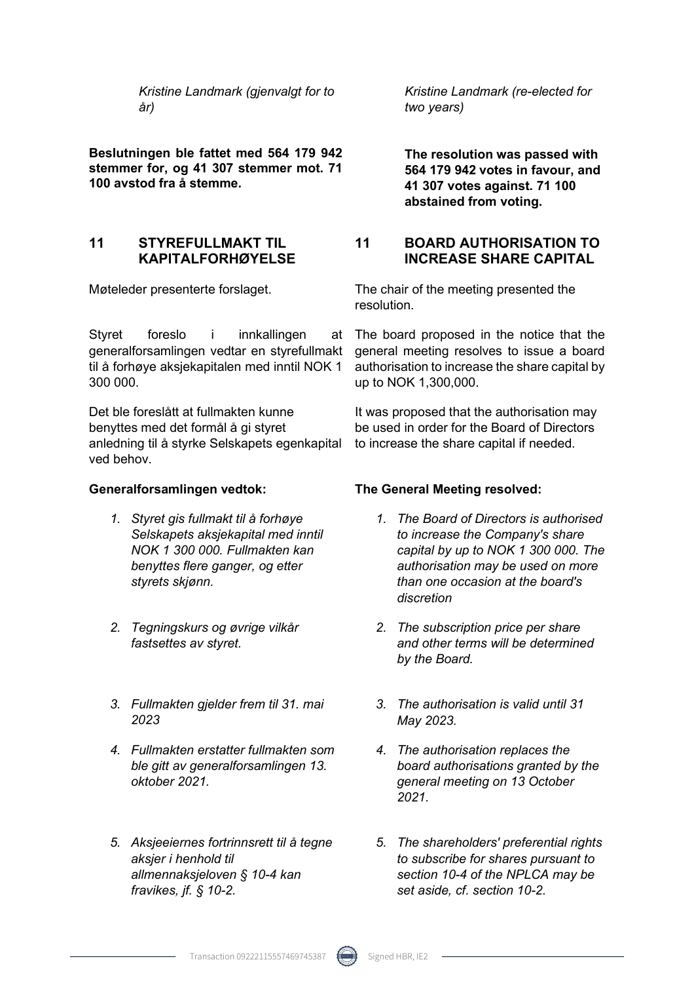*Kristine Landmark (gjenvalgt for to år)* 

**Beslutningen ble fattet med 564 179 942 stemmer for, og 41 307 stemmer mot. 71 100 avstod fra å stemme.** 

### **11 STYREFULLMAKT TIL KAPITALFORHØYELSE**

Styret foreslo i innkallingen generalforsamlingen vedtar en styrefullmakt general meeting resolves to issue a board til å forhøye aksjekapitalen med inntil NOK 1 300 000.

Det ble foreslått at fullmakten kunne benyttes med det formål å gi styret anledning til å styrke Selskapets egenkapital ved behov.

- *1. Styret gis fullmakt til å forhøye Selskapets aksjekapital med inntil NOK 1 300 000. Fullmakten kan benyttes flere ganger, og etter styrets skjønn.*
- *2. Tegningskurs og øvrige vilkår fastsettes av styret.*
- *3. Fullmakten gjelder frem til 31. mai 2023*
- *4. Fullmakten erstatter fullmakten som ble gitt av generalforsamlingen 13. oktober 2021.*
- *5. Aksjeeiernes fortrinnsrett til å tegne aksjer i henhold til allmennaksjeloven § 10-4 kan fravikes, jf. § 10-2.*

*Kristine Landmark (re-elected for two years)* 

**The resolution was passed with 564 179 942 votes in favour, and 41 307 votes against. 71 100 abstained from voting.**

### **11 BOARD AUTHORISATION TO INCREASE SHARE CAPITAL**

Møteleder presenterte forslaget. The chair of the meeting presented the resolution.

> The board proposed in the notice that the authorisation to increase the share capital by up to NOK 1,300,000.

It was proposed that the authorisation may be used in order for the Board of Directors to increase the share capital if needed.

#### **Generalforsamlingen vedtok: The General Meeting resolved:**

- *1. The Board of Directors is authorised to increase the Company's share capital by up to NOK 1 300 000. The authorisation may be used on more than one occasion at the board's discretion*
- *2. The subscription price per share and other terms will be determined by the Board.*
- *3. The authorisation is valid until 31 May 2023.*
- *4. The authorisation replaces the board authorisations granted by the general meeting on 13 October 2021.*
- *5. The shareholders' preferential rights to subscribe for shares pursuant to section 10-4 of the NPLCA may be set aside, cf. section 10-2.*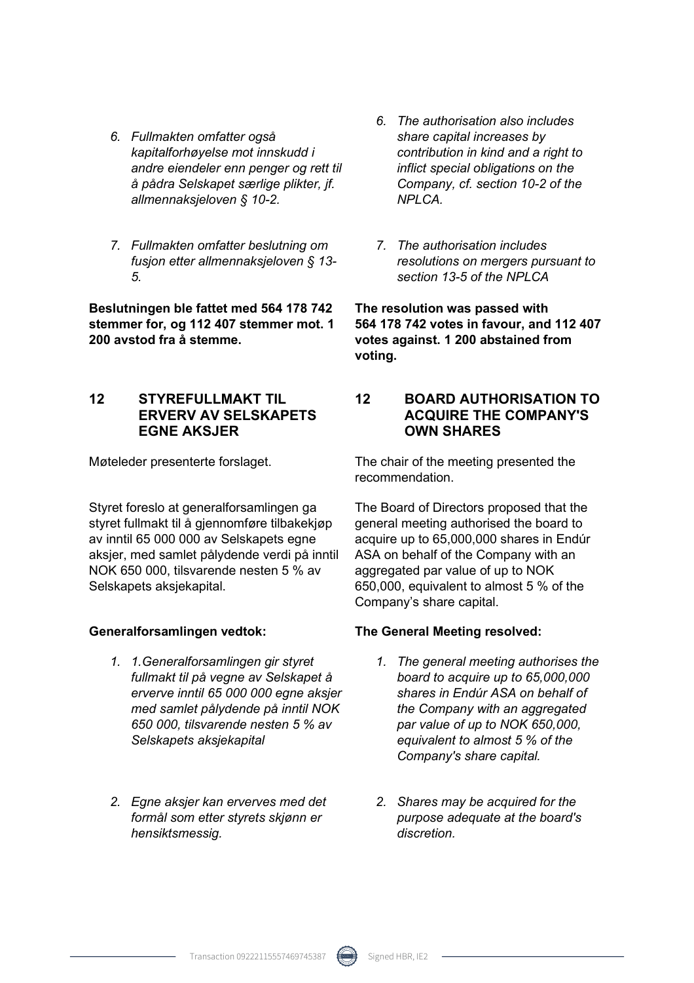- *6. Fullmakten omfatter også kapitalforhøyelse mot innskudd i andre eiendeler enn penger og rett til å pådra Selskapet særlige plikter, jf. allmennaksjeloven § 10-2.*
- *7. Fullmakten omfatter beslutning om fusjon etter allmennaksjeloven § 13- 5.*

**Beslutningen ble fattet med 564 178 742 stemmer for, og 112 407 stemmer mot. 1 200 avstod fra å stemme.** 

### **12 STYREFULLMAKT TIL ERVERV AV SELSKAPETS EGNE AKSJER**

Styret foreslo at generalforsamlingen ga styret fullmakt til å gjennomføre tilbakekjøp av inntil 65 000 000 av Selskapets egne aksjer, med samlet pålydende verdi på inntil NOK 650 000, tilsvarende nesten 5 % av Selskapets aksjekapital.

- *1. 1.Generalforsamlingen gir styret fullmakt til på vegne av Selskapet å erverve inntil 65 000 000 egne aksjer med samlet pålydende på inntil NOK 650 000, tilsvarende nesten 5 % av Selskapets aksjekapital*
- *2. Egne aksjer kan erverves med det formål som etter styrets skjønn er hensiktsmessig.*
- *6. The authorisation also includes share capital increases by contribution in kind and a right to inflict special obligations on the Company, cf. section 10-2 of the NPLCA.*
- *7. The authorisation includes resolutions on mergers pursuant to section 13-5 of the NPLCA*

**The resolution was passed with 564 178 742 votes in favour, and 112 407 votes against. 1 200 abstained from voting.**

### **12 BOARD AUTHORISATION TO ACQUIRE THE COMPANY'S OWN SHARES**

Møteleder presenterte forslaget. The chair of the meeting presented the recommendation.

> The Board of Directors proposed that the general meeting authorised the board to acquire up to 65,000,000 shares in Endúr ASA on behalf of the Company with an aggregated par value of up to NOK 650,000, equivalent to almost 5 % of the Company's share capital.

#### **Generalforsamlingen vedtok: The General Meeting resolved:**

- *1. The general meeting authorises the board to acquire up to 65,000,000 shares in Endúr ASA on behalf of the Company with an aggregated par value of up to NOK 650,000, equivalent to almost 5 % of the Company's share capital.*
- *2. Shares may be acquired for the purpose adequate at the board's discretion.*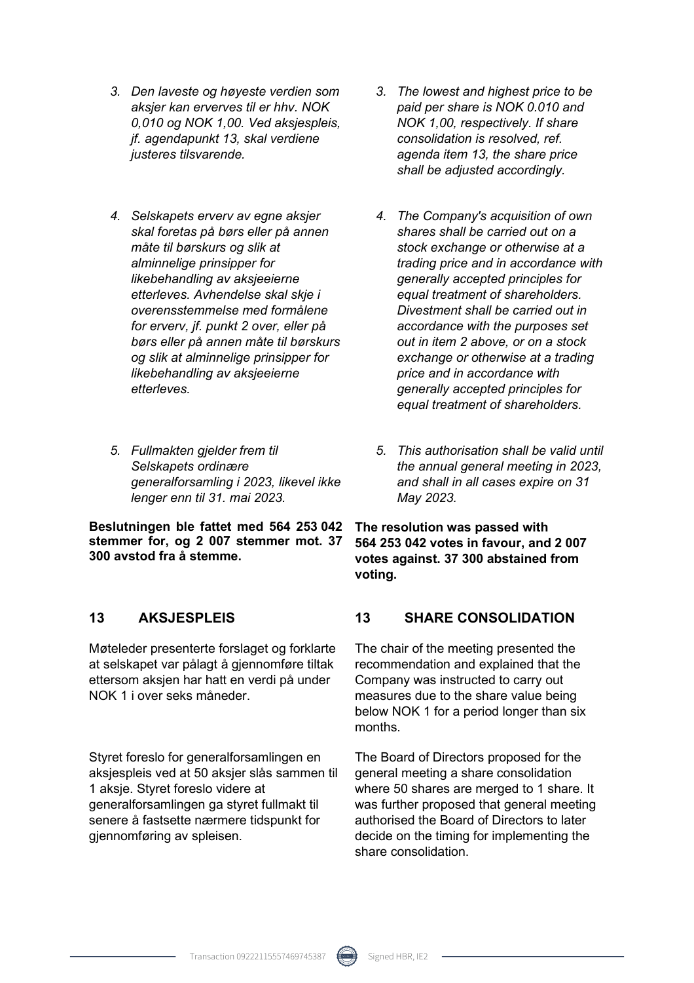- *3. Den laveste og høyeste verdien som aksjer kan erverves til er hhv. NOK 0,010 og NOK 1,00. Ved aksjespleis, jf. agendapunkt 13, skal verdiene justeres tilsvarende.*
- *4. Selskapets erverv av egne aksjer skal foretas på børs eller på annen måte til børskurs og slik at alminnelige prinsipper for likebehandling av aksjeeierne etterleves. Avhendelse skal skje i overensstemmelse med formålene for erverv, jf. punkt 2 over, eller på børs eller på annen måte til børskurs og slik at alminnelige prinsipper for likebehandling av aksjeeierne etterleves.*
- *5. Fullmakten gjelder frem til Selskapets ordinære generalforsamling i 2023, likevel ikke lenger enn til 31. mai 2023.*

**Beslutningen ble fattet med 564 253 042 stemmer for, og 2 007 stemmer mot. 37 300 avstod fra å stemme.** 

Møteleder presenterte forslaget og forklarte at selskapet var pålagt å gjennomføre tiltak ettersom aksjen har hatt en verdi på under NOK 1 i over seks måneder.

Styret foreslo for generalforsamlingen en aksjespleis ved at 50 aksjer slås sammen til 1 aksje. Styret foreslo videre at generalforsamlingen ga styret fullmakt til senere å fastsette nærmere tidspunkt for gjennomføring av spleisen.

- *3. The lowest and highest price to be paid per share is NOK 0.010 and NOK 1,00, respectively. If share consolidation is resolved, ref. agenda item 13, the share price shall be adjusted accordingly.*
- *4. The Company's acquisition of own shares shall be carried out on a stock exchange or otherwise at a trading price and in accordance with generally accepted principles for equal treatment of shareholders. Divestment shall be carried out in accordance with the purposes set out in item 2 above, or on a stock exchange or otherwise at a trading price and in accordance with generally accepted principles for equal treatment of shareholders.*
- *5. This authorisation shall be valid until the annual general meeting in 2023, and shall in all cases expire on 31 May 2023.*

**The resolution was passed with 564 253 042 votes in favour, and 2 007 votes against. 37 300 abstained from voting.**

### **13 AKSJESPLEIS 13 SHARE CONSOLIDATION**

The chair of the meeting presented the recommendation and explained that the Company was instructed to carry out measures due to the share value being below NOK 1 for a period longer than six months.

The Board of Directors proposed for the general meeting a share consolidation where 50 shares are merged to 1 share. It was further proposed that general meeting authorised the Board of Directors to later decide on the timing for implementing the share consolidation.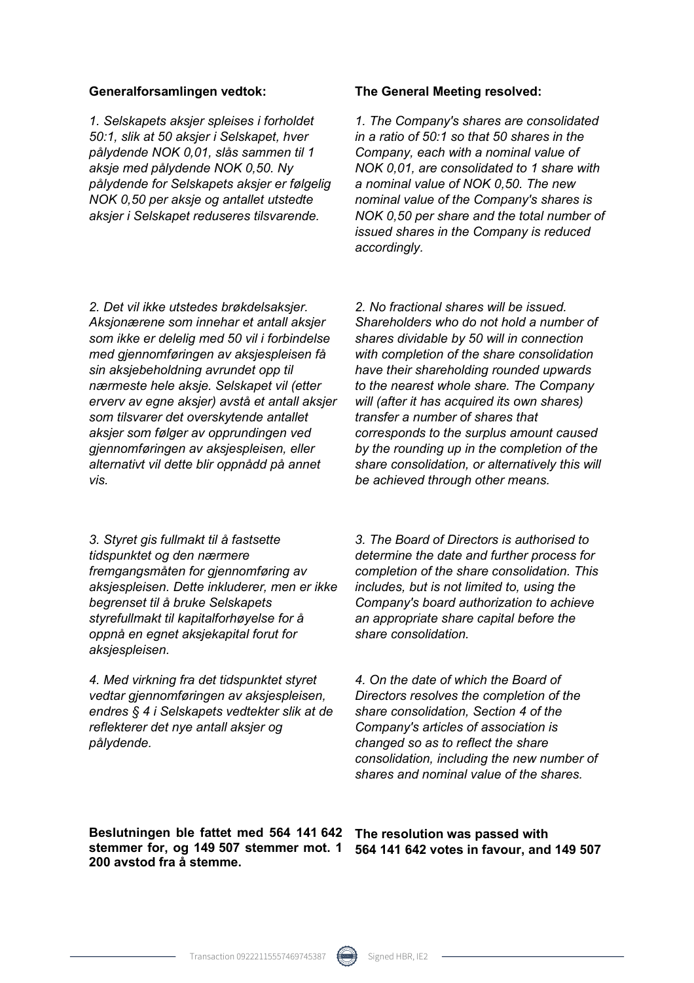*1. Selskapets aksjer spleises i forholdet 50:1, slik at 50 aksjer i Selskapet, hver pålydende NOK 0,01, slås sammen til 1 aksje med pålydende NOK 0,50. Ny pålydende for Selskapets aksjer er følgelig NOK 0,50 per aksje og antallet utstedte aksjer i Selskapet reduseres tilsvarende.* 

#### **Generalforsamlingen vedtok: The General Meeting resolved:**

*1. The Company's shares are consolidated in a ratio of 50:1 so that 50 shares in the Company, each with a nominal value of NOK 0,01, are consolidated to 1 share with a nominal value of NOK 0,50. The new nominal value of the Company's shares is NOK 0,50 per share and the total number of issued shares in the Company is reduced accordingly.* 

*2. Det vil ikke utstedes brøkdelsaksjer. Aksjonærene som innehar et antall aksjer som ikke er delelig med 50 vil i forbindelse med gjennomføringen av aksjespleisen få sin aksjebeholdning avrundet opp til nærmeste hele aksje. Selskapet vil (etter erverv av egne aksjer) avstå et antall aksjer som tilsvarer det overskytende antallet aksjer som følger av opprundingen ved gjennomføringen av aksjespleisen, eller alternativt vil dette blir oppnådd på annet vis.* 

*3. Styret gis fullmakt til å fastsette tidspunktet og den nærmere fremgangsmåten for gjennomføring av aksjespleisen. Dette inkluderer, men er ikke begrenset til å bruke Selskapets styrefullmakt til kapitalforhøyelse for å oppnå en egnet aksjekapital forut for aksjespleisen.* 

*4. Med virkning fra det tidspunktet styret vedtar gjennomføringen av aksjespleisen, endres § 4 i Selskapets vedtekter slik at de reflekterer det nye antall aksjer og pålydende.* 

*2. No fractional shares will be issued. Shareholders who do not hold a number of shares dividable by 50 will in connection with completion of the share consolidation have their shareholding rounded upwards to the nearest whole share. The Company will (after it has acquired its own shares) transfer a number of shares that corresponds to the surplus amount caused by the rounding up in the completion of the share consolidation, or alternatively this will be achieved through other means.* 

*3. The Board of Directors is authorised to determine the date and further process for completion of the share consolidation. This includes, but is not limited to, using the Company's board authorization to achieve an appropriate share capital before the share consolidation.* 

*4. On the date of which the Board of Directors resolves the completion of the share consolidation, Section 4 of the Company's articles of association is changed so as to reflect the share consolidation, including the new number of shares and nominal value of the shares.* 

**Beslutningen ble fattet med 564 141 642 stemmer for, og 149 507 stemmer mot. 1 200 avstod fra å stemme.** 

**The resolution was passed with 564 141 642 votes in favour, and 149 507**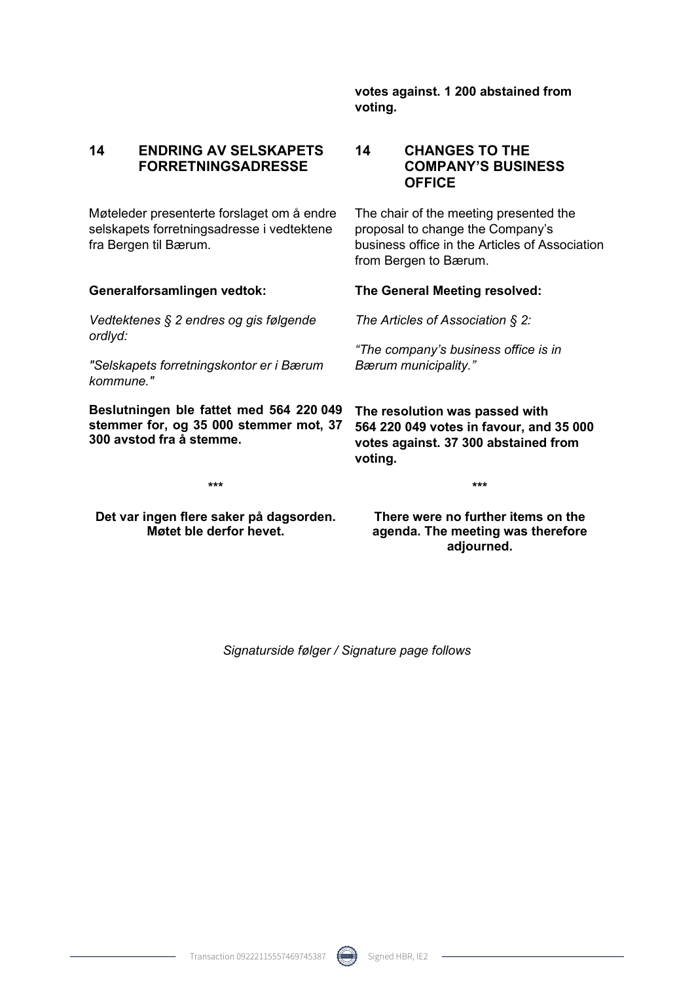**votes against. 1 200 abstained from voting.** 

#### **14 ENDRING AV SELSKAPETS FORRETNINGSADRESSE**

Møteleder presenterte forslaget om å endre selskapets forretningsadresse i vedtektene fra Bergen til Bærum.

*Vedtektenes § 2 endres og gis følgende ordlyd:* 

*"Selskapets forretningskontor er i Bærum kommune."*

**Beslutningen ble fattet med 564 220 049 stemmer for, og 35 000 stemmer mot, 37 300 avstod fra å stemme.** 

#### **14 CHANGES TO THE COMPANY'S BUSINESS OFFICE**

The chair of the meeting presented the proposal to change the Company's business office in the Articles of Association from Bergen to Bærum.

#### **Generalforsamlingen vedtok: The General Meeting resolved:**

*The Articles of Association § 2:* 

*"The company's business office is in Bærum municipality."*

**The resolution was passed with 564 220 049 votes in favour, and 35 000 votes against. 37 300 abstained from voting.** 

**\*\*\*** 

**Det var ingen flere saker på dagsorden. Møtet ble derfor hevet.** 

**There were no further items on the agenda. The meeting was therefore adjourned.** 

**\*\*\*** 

*Signaturside følger / Signature page follows*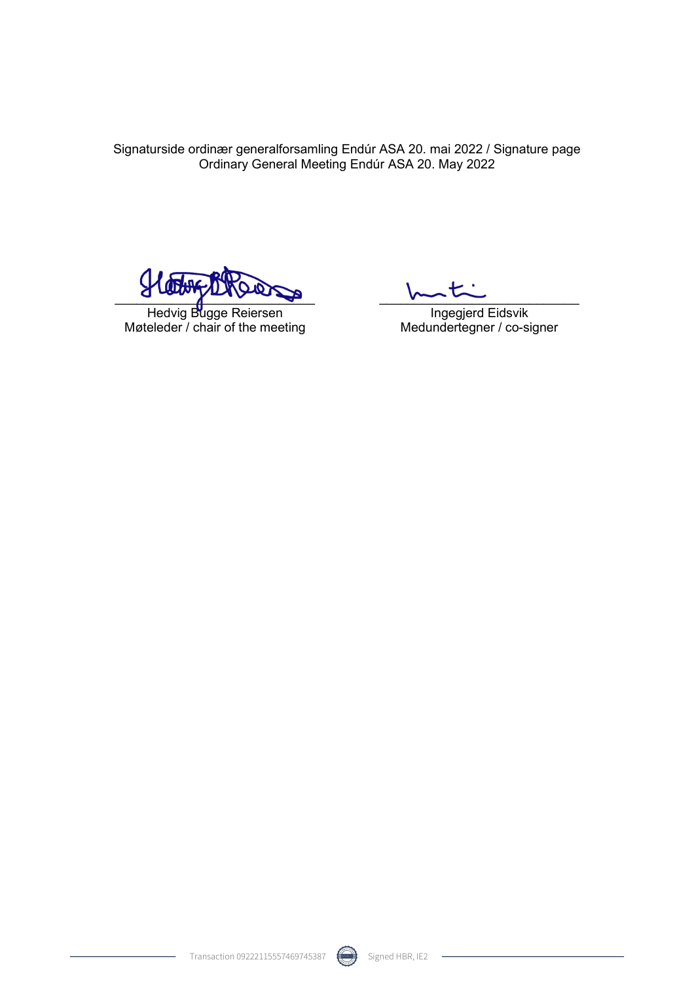Signaturside ordinær generalforsamling Endúr ASA 20. mai 2022 / Signature page Ordinary General Meeting Endúr ASA 20. May 2022

 $\frac{1}{2}$ 

Hedvig Bugge Reiersen Møteleder / chair of the meeting

 $\sim$ 

Ingegjerd Eidsvik Medundertegner / co-signer